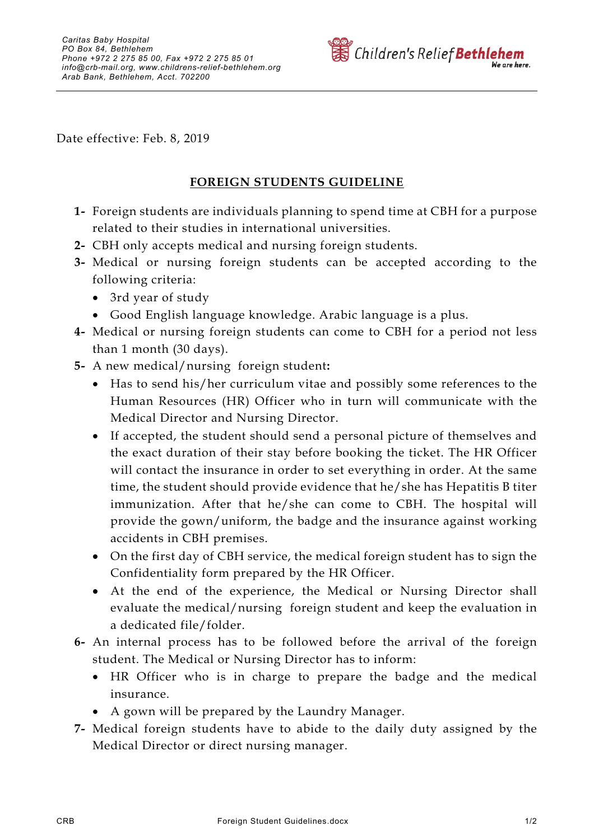

Date effective: Feb. 8, 2019

## **FOREIGN STUDENTS GUIDELINE**

- **1-** Foreign students are individuals planning to spend time at CBH for a purpose related to their studies in international universities.
- **2-** CBH only accepts medical and nursing foreign students.
- **3-** Medical or nursing foreign students can be accepted according to the following criteria:
	- 3rd year of study
	- Good English language knowledge. Arabic language is a plus.
- **4-** Medical or nursing foreign students can come to CBH for a period not less than 1 month (30 days).
- **5-** A new medical/nursing foreign student**:**
	- Has to send his/her curriculum vitae and possibly some references to the Human Resources (HR) Officer who in turn will communicate with the Medical Director and Nursing Director.
	- If accepted, the student should send a personal picture of themselves and the exact duration of their stay before booking the ticket. The HR Officer will contact the insurance in order to set everything in order. At the same time, the student should provide evidence that he/she has Hepatitis B titer immunization. After that he/she can come to CBH. The hospital will provide the gown/uniform, the badge and the insurance against working accidents in CBH premises.
	- On the first day of CBH service, the medical foreign student has to sign the Confidentiality form prepared by the HR Officer.
	- At the end of the experience, the Medical or Nursing Director shall evaluate the medical/nursing foreign student and keep the evaluation in a dedicated file/folder.
- **6-** An internal process has to be followed before the arrival of the foreign student. The Medical or Nursing Director has to inform:
	- HR Officer who is in charge to prepare the badge and the medical insurance.
	- A gown will be prepared by the Laundry Manager.
- **7-** Medical foreign students have to abide to the daily duty assigned by the Medical Director or direct nursing manager.